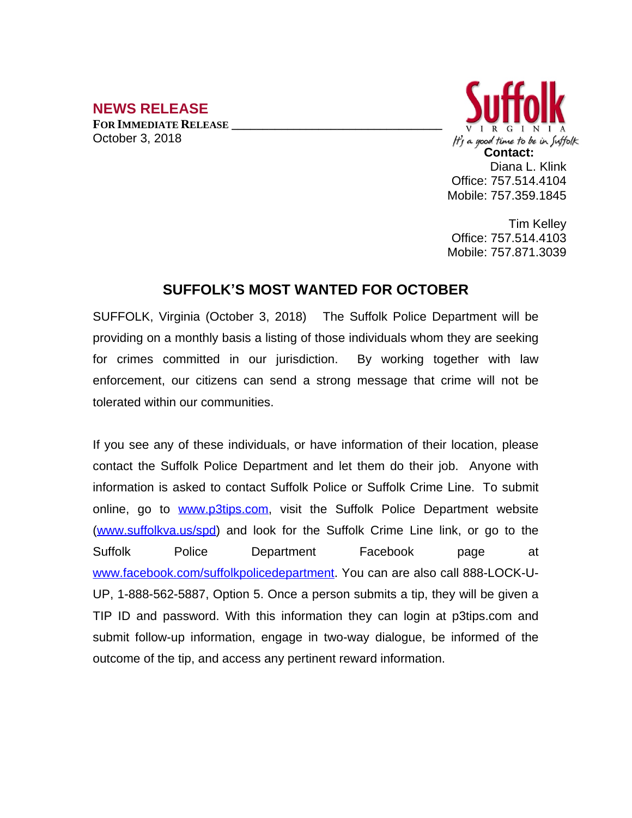## **NEWS RELEASE**

**FOR IMMEDIATE RELEASE \_\_\_\_\_\_\_\_\_\_\_\_\_\_\_\_\_\_\_\_\_\_\_\_\_\_\_\_\_\_\_\_\_\_** October 3, 2018



Tim Kelley Office: 757.514.4103 Mobile: 757.871.3039

## **SUFFOLK'S MOST WANTED FOR OCTOBER**

SUFFOLK, Virginia (October 3, 2018) The Suffolk Police Department will be providing on a monthly basis a listing of those individuals whom they are seeking for crimes committed in our jurisdiction. By working together with law enforcement, our citizens can send a strong message that crime will not be tolerated within our communities.

If you see any of these individuals, or have information of their location, please contact the Suffolk Police Department and let them do their job. Anyone with information is asked to contact Suffolk Police or Suffolk Crime Line. To submit online, go to [www.p3tips.com](http://www.p3tips.com), visit the Suffolk Police Department website ([www.suffolkva.us/spd](http://www.suffolkva.us/spd)) and look for the Suffolk Crime Line link, or go to the Suffolk Police Department Facebook page at [www.facebook.com/suffolkpolicedepartment](http://www.facebook.com/suffolkpolicedepartment). You can are also call 888-LOCK-U-UP, 1-888-562-5887, Option 5. Once a person submits a tip, they will be given a TIP ID and password. With this information they can login at p3tips.com and submit follow-up information, engage in two-way dialogue, be informed of the outcome of the tip, and access any pertinent reward information.